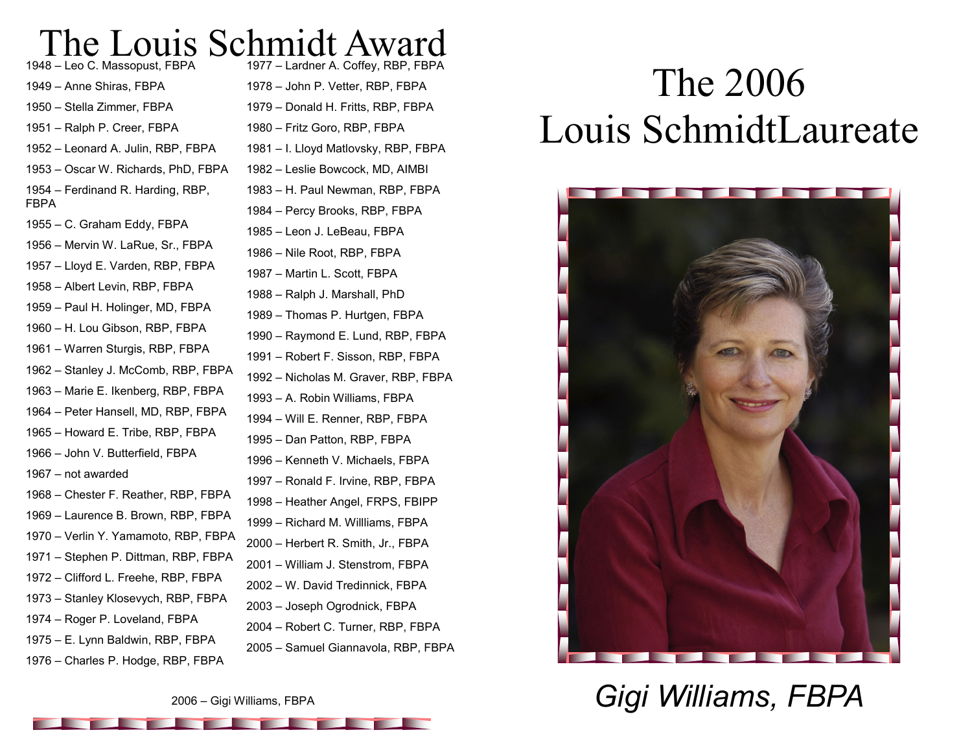# The Louis Schmidt Award

– Leo C. Massopust, FBPA – Anne Shiras, FBPA – Stella Zimmer, FBPA – Ralph P. Creer, FBPA – Leonard A. Julin, RBP, FBPA – Oscar W. Richards, PhD, FBPA – Ferdinand R. Harding, RBP, FBPA – C. Graham Eddy, FBPA – Mervin W. LaRue, Sr., FBPA – Lloyd E. Varden, RBP, FBPA – Albert Levin, RBP, FBPA – Paul H. Holinger, MD, FBPA – H. Lou Gibson, RBP, FBPA – Warren Sturgis, RBP, FBPA – Stanley J. McComb, RBP, FBPA – Marie E. Ikenberg, RBP, FBPA – Peter Hansell, MD, RBP, FBPA – Howard E. Tribe, RBP, FBPA – John V. Butterfield, FBPA – not awarded – Chester F. Reather, RBP, FBPA – Laurence B. Brown, RBP, FBPA – Verlin Y. Yamamoto, RBP, FBPA – Stephen P. Dittman, RBP, FBPA – Clifford L. Freehe, RBP, FBPA – Stanley Klosevych, RBP, FBPA – Roger P. Loveland, FBPA – E. Lynn Baldwin, RBP, FBPA – Charles P. Hodge, RBP, FBPA

– Lardner A. Coffey, RBP, FBPA – John P. Vetter, RBP, FBPA – Donald H. Fritts, RBP, FBPA – Fritz Goro, RBP, FBPA – I. Lloyd Matlovsky, RBP, FBPA – Leslie Bowcock, MD, AIMBI – H. Paul Newman, RBP, FBPA – Percy Brooks, RBP, FBPA – Leon J. LeBeau, FBPA – Nile Root, RBP, FBPA – Martin L. Scott, FBPA – Ralph J. Marshall, PhD – Thomas P. Hurtgen, FBPA – Raymond E. Lund, RBP, FBPA – Robert F. Sisson, RBP, FBPA – Nicholas M. Graver, RBP, FBPA – A. Robin Williams, FBPA – Will E. Renner, RBP, FBPA – Dan Patton, RBP, FBPA – Kenneth V. Michaels, FBPA – Ronald F. Irvine, RBP, FBPA – Heather Angel, FRPS, FBIPP – Richard M. Willliams, FBPA – Herbert R. Smith, Jr., FBPA – William J. Stenstrom, FBPA – W. David Tredinnick, FBPA – Joseph Ogrodnick, FBPA – Robert C. Turner, RBP, FBPA – Samuel Giannavola, RBP, FBPA

# The 2006 Louis SchmidtLaureate



*Gigi Williams, FBPA*